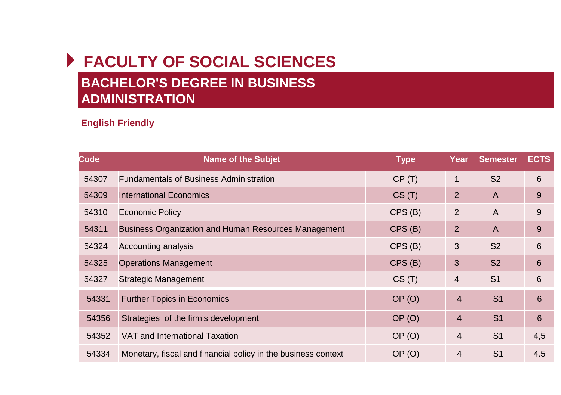## **FACULTY OF SOCIAL SCIENCES BACHELOR'S DEGREE IN BUSINESS ADMINISTRATION**

## **English Friendly**

| Code  | <b>Name of the Subjet</b>                                     | <b>Type</b> | Year           | <b>Semester</b> | <b>ECTS</b> |
|-------|---------------------------------------------------------------|-------------|----------------|-----------------|-------------|
| 54307 | <b>Fundamentals of Business Administration</b>                | CP(T)       | $\mathbf{1}$   | S <sub>2</sub>  | 6           |
| 54309 | <b>International Economics</b>                                | CS(T)       | 2              | $\mathsf{A}$    | 9           |
| 54310 | <b>Economic Policy</b>                                        | CPS(B)      | 2              | $\mathsf{A}$    | 9           |
| 54311 | Business Organization and Human Resources Management          | CPS(B)      | 2              | $\mathsf{A}$    | 9           |
| 54324 | Accounting analysis                                           | CPS(B)      | 3              | S <sub>2</sub>  | 6           |
| 54325 | <b>Operations Management</b>                                  | CPS(B)      | 3              | S <sub>2</sub>  | 6           |
| 54327 | <b>Strategic Management</b>                                   | CS(T)       | $\overline{4}$ | S <sub>1</sub>  | 6           |
| 54331 | <b>Further Topics in Economics</b>                            | OP(0)       | $\overline{4}$ | S <sub>1</sub>  | 6           |
| 54356 | Strategies of the firm's development                          | OP (O)      | $\overline{4}$ | S <sub>1</sub>  | 6           |
| 54352 | VAT and International Taxation                                | OP (O)      | $\overline{4}$ | S <sub>1</sub>  | 4,5         |
| 54334 | Monetary, fiscal and financial policy in the business context | OP(0)       | 4              | S <sub>1</sub>  | 4.5         |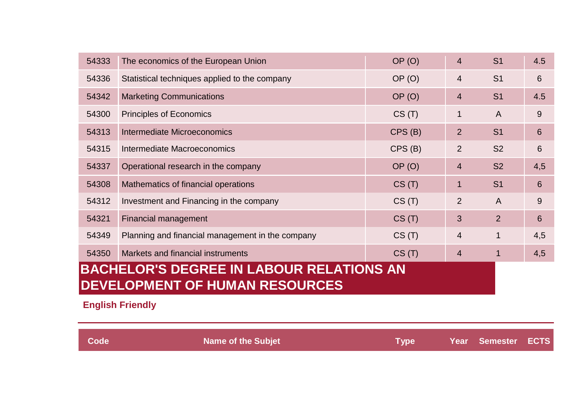| 54333                                           | The economics of the European Union              | OP (O)      | $\overline{4}$ | S <sub>1</sub> | 4.5 |
|-------------------------------------------------|--------------------------------------------------|-------------|----------------|----------------|-----|
| 54336                                           | Statistical techniques applied to the company    | OP(0)       | $\overline{4}$ | S <sub>1</sub> | 6   |
| 54342                                           | <b>Marketing Communications</b>                  | OP(0)       | $\overline{4}$ | S <sub>1</sub> | 4.5 |
| 54300                                           | Principles of Economics                          | CS(T)       | 1              | $\overline{A}$ | 9   |
| 54313                                           | Intermediate Microeconomics                      | CPS(B)      | 2              | S <sub>1</sub> | 6   |
| 54315                                           | Intermediate Macroeconomics                      | $CPS$ $(B)$ | 2              | S <sub>2</sub> | 6   |
| 54337                                           | Operational research in the company              | OP(0)       | $\overline{4}$ | S <sub>2</sub> | 4,5 |
| 54308                                           | Mathematics of financial operations              | CS(T)       | 1              | S <sub>1</sub> | 6   |
| 54312                                           | Investment and Financing in the company          | CS(T)       | 2              | A              | 9   |
| 54321                                           | Financial management                             | CS(T)       | 3              | 2              | 6   |
| 54349                                           | Planning and financial management in the company | CS(T)       | $\overline{4}$ | $\mathbf{1}$   | 4,5 |
| 54350                                           | Markets and financial instruments                | CS(T)       | $\overline{4}$ |                | 4,5 |
| <b>BACHELOR'S DEGREE IN LABOUR RELATIONS AN</b> |                                                  |             |                |                |     |
| <b>DEVELOPMENT OF HUMAN RESOURCES</b>           |                                                  |             |                |                |     |

**English Friendly**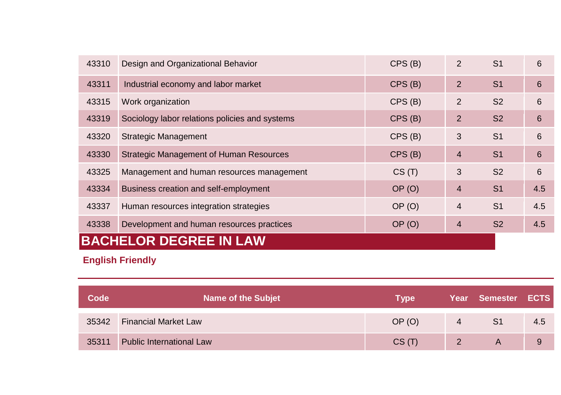| 43310                     | Design and Organizational Behavior             | $CPS$ (B) | 2              | S <sub>1</sub> | 6   |
|---------------------------|------------------------------------------------|-----------|----------------|----------------|-----|
| 43311                     | Industrial economy and labor market            | CPS(B)    | $\overline{2}$ | S <sub>1</sub> | 6   |
| 43315                     | Work organization                              | $CPS$ (B) | $\overline{2}$ | S <sub>2</sub> | 6   |
| 43319                     | Sociology labor relations policies and systems | $CPS$ (B) | $\overline{2}$ | S <sub>2</sub> | 6   |
| 43320                     | Strategic Management                           | CPS(B)    | 3              | S <sub>1</sub> | 6   |
| 43330                     | Strategic Management of Human Resources        | CPS(B)    | $\overline{4}$ | S <sub>1</sub> | 6   |
| 43325                     | Management and human resources management      | CS(T)     | 3              | S <sub>2</sub> | 6   |
| 43334                     | Business creation and self-employment          | OP(0)     | $\overline{4}$ | S <sub>1</sub> | 4.5 |
| 43337                     | Human resources integration strategies         | OP(0)     | $\overline{4}$ | S <sub>1</sub> | 4.5 |
| 43338                     | Development and human resources practices      | OP(0)     | 4              | S <sub>2</sub> | 4.5 |
| <b>BACHELOR DEGREE IN</b> |                                                |           |                |                |     |

## **English Friendly**

| Code  | <b>Name of the Subjet</b>       | <b>Type</b> |   | Year Semester ECTS |     |
|-------|---------------------------------|-------------|---|--------------------|-----|
| 35342 | <b>Financial Market Law</b>     | OP(0)       | 4 | S <sub>1</sub>     | 4.5 |
| 35311 | <b>Public International Law</b> | CS(T)       |   | A                  | 9   |